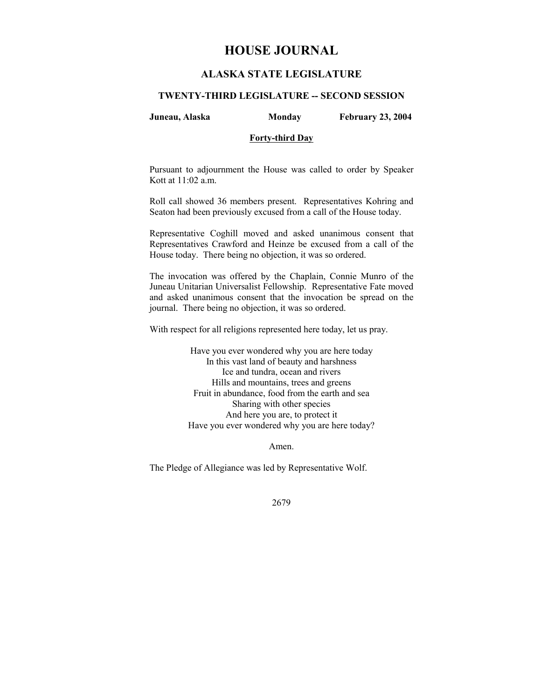# **HOUSE JOURNAL**

## **ALASKA STATE LEGISLATURE**

#### **TWENTY-THIRD LEGISLATURE -- SECOND SESSION**

**Juneau, Alaska Monday February 23, 2004** 

### **Forty-third Day**

Pursuant to adjournment the House was called to order by Speaker Kott at 11:02 a.m.

Roll call showed 36 members present. Representatives Kohring and Seaton had been previously excused from a call of the House today.

Representative Coghill moved and asked unanimous consent that Representatives Crawford and Heinze be excused from a call of the House today. There being no objection, it was so ordered.

The invocation was offered by the Chaplain, Connie Munro of the Juneau Unitarian Universalist Fellowship. Representative Fate moved and asked unanimous consent that the invocation be spread on the journal. There being no objection, it was so ordered.

With respect for all religions represented here today, let us pray.

Have you ever wondered why you are here today In this vast land of beauty and harshness Ice and tundra, ocean and rivers Hills and mountains, trees and greens Fruit in abundance, food from the earth and sea Sharing with other species And here you are, to protect it Have you ever wondered why you are here today?

Amen.

The Pledge of Allegiance was led by Representative Wolf.

2679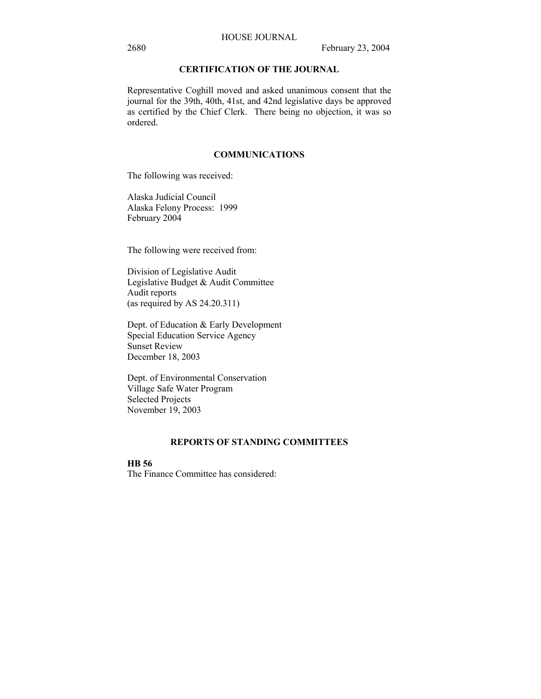### HOUSE JOURNAL

## **CERTIFICATION OF THE JOURNAL**

Representative Coghill moved and asked unanimous consent that the journal for the 39th, 40th, 41st, and 42nd legislative days be approved as certified by the Chief Clerk. There being no objection, it was so ordered.

#### **COMMUNICATIONS**

The following was received:

Alaska Judicial Council Alaska Felony Process: 1999 February 2004

The following were received from:

Division of Legislative Audit Legislative Budget & Audit Committee Audit reports (as required by AS 24.20.311)

Dept. of Education & Early Development Special Education Service Agency Sunset Review December 18, 2003

Dept. of Environmental Conservation Village Safe Water Program Selected Projects November 19, 2003

### **REPORTS OF STANDING COMMITTEES**

### **HB 56**

The Finance Committee has considered: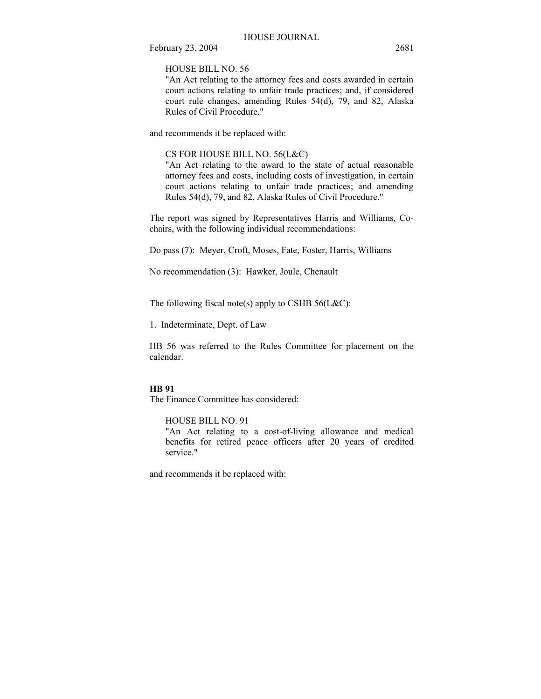HOUSE BILL NO. 56

"An Act relating to the attorney fees and costs awarded in certain court actions relating to unfair trade practices; and, if considered court rule changes, amending Rules 54(d), 79, and 82, Alaska Rules of Civil Procedure."

and recommends it be replaced with:

#### CS FOR HOUSE BILL NO. 56(L&C)

"An Act relating to the award to the state of actual reasonable attorney fees and costs, including costs of investigation, in certain court actions relating to unfair trade practices; and amending Rules 54(d), 79, and 82, Alaska Rules of Civil Procedure."

The report was signed by Representatives Harris and Williams, Cochairs, with the following individual recommendations:

Do pass (7): Meyer, Croft, Moses, Fate, Foster, Harris, Williams

No recommendation (3): Hawker, Joule, Chenault

The following fiscal note(s) apply to CSHB  $56(L&C)$ :

1. Indeterminate, Dept. of Law

HB 56 was referred to the Rules Committee for placement on the calendar.

#### **HB 91**

The Finance Committee has considered:

HOUSE BILL NO. 91

"An Act relating to a cost-of-living allowance and medical benefits for retired peace officers after 20 years of credited service."

and recommends it be replaced with: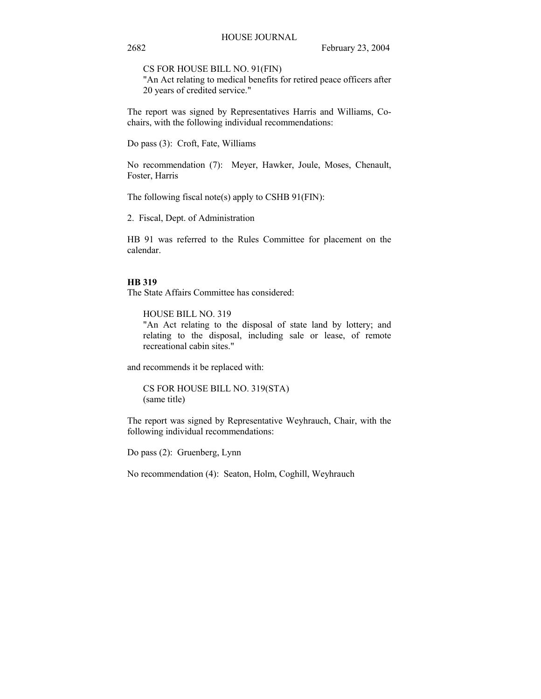CS FOR HOUSE BILL NO. 91(FIN)

"An Act relating to medical benefits for retired peace officers after 20 years of credited service."

The report was signed by Representatives Harris and Williams, Cochairs, with the following individual recommendations:

Do pass (3): Croft, Fate, Williams

No recommendation (7): Meyer, Hawker, Joule, Moses, Chenault, Foster, Harris

The following fiscal note(s) apply to CSHB 91(FIN):

2. Fiscal, Dept. of Administration

HB 91 was referred to the Rules Committee for placement on the calendar.

#### **HB 319**

The State Affairs Committee has considered:

HOUSE BILL NO. 319 "An Act relating to the disposal of state land by lottery; and relating to the disposal, including sale or lease, of remote recreational cabin sites."

and recommends it be replaced with:

CS FOR HOUSE BILL NO. 319(STA) (same title)

The report was signed by Representative Weyhrauch, Chair, with the following individual recommendations:

Do pass (2): Gruenberg, Lynn

No recommendation (4): Seaton, Holm, Coghill, Weyhrauch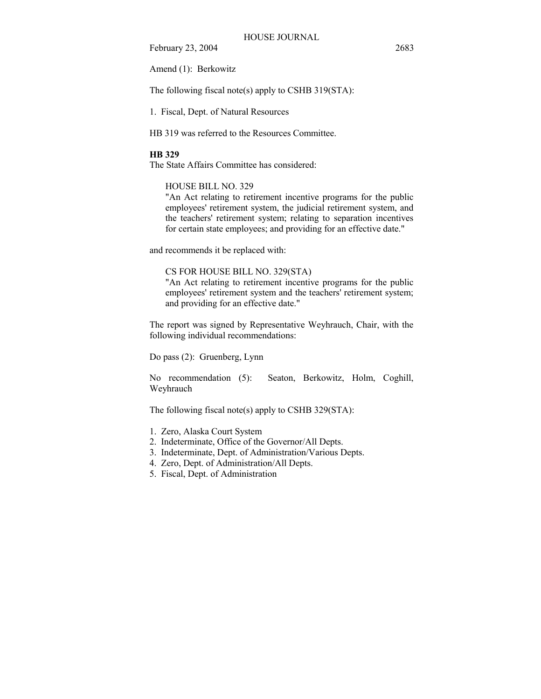Amend (1): Berkowitz

The following fiscal note(s) apply to CSHB 319(STA):

1. Fiscal, Dept. of Natural Resources

HB 319 was referred to the Resources Committee.

#### **HB 329**

The State Affairs Committee has considered:

## HOUSE BILL NO. 329

"An Act relating to retirement incentive programs for the public employees' retirement system, the judicial retirement system, and the teachers' retirement system; relating to separation incentives for certain state employees; and providing for an effective date."

and recommends it be replaced with:

## CS FOR HOUSE BILL NO. 329(STA)

"An Act relating to retirement incentive programs for the public employees' retirement system and the teachers' retirement system; and providing for an effective date."

The report was signed by Representative Weyhrauch, Chair, with the following individual recommendations:

Do pass (2): Gruenberg, Lynn

No recommendation (5): Seaton, Berkowitz, Holm, Coghill, Weyhrauch

The following fiscal note(s) apply to CSHB 329(STA):

- 1. Zero, Alaska Court System
- 2. Indeterminate, Office of the Governor/All Depts.
- 3. Indeterminate, Dept. of Administration/Various Depts.
- 4. Zero, Dept. of Administration/All Depts.
- 5. Fiscal, Dept. of Administration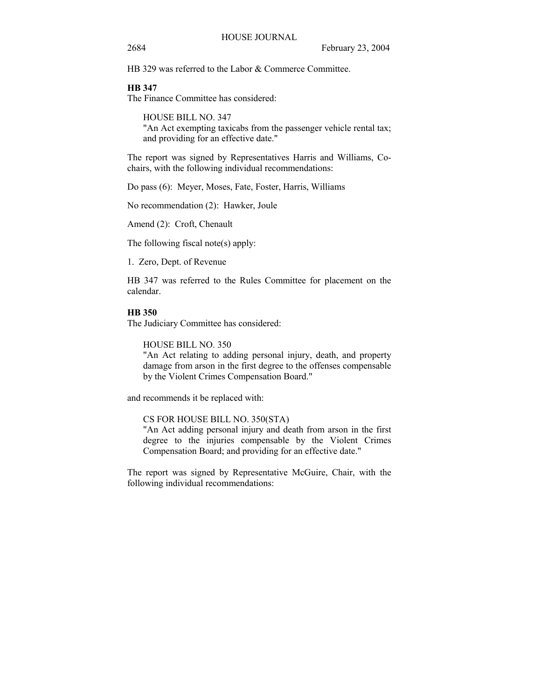2684 February 23, 2004

HB 329 was referred to the Labor & Commerce Committee.

## **HB 347**

The Finance Committee has considered:

HOUSE BILL NO. 347 "An Act exempting taxicabs from the passenger vehicle rental tax; and providing for an effective date."

The report was signed by Representatives Harris and Williams, Cochairs, with the following individual recommendations:

Do pass (6): Meyer, Moses, Fate, Foster, Harris, Williams

No recommendation (2): Hawker, Joule

Amend (2): Croft, Chenault

The following fiscal note(s) apply:

1. Zero, Dept. of Revenue

HB 347 was referred to the Rules Committee for placement on the calendar.

#### **HB 350**

The Judiciary Committee has considered:

HOUSE BILL NO. 350

"An Act relating to adding personal injury, death, and property damage from arson in the first degree to the offenses compensable by the Violent Crimes Compensation Board."

and recommends it be replaced with:

CS FOR HOUSE BILL NO. 350(STA)

"An Act adding personal injury and death from arson in the first degree to the injuries compensable by the Violent Crimes Compensation Board; and providing for an effective date."

The report was signed by Representative McGuire, Chair, with the following individual recommendations: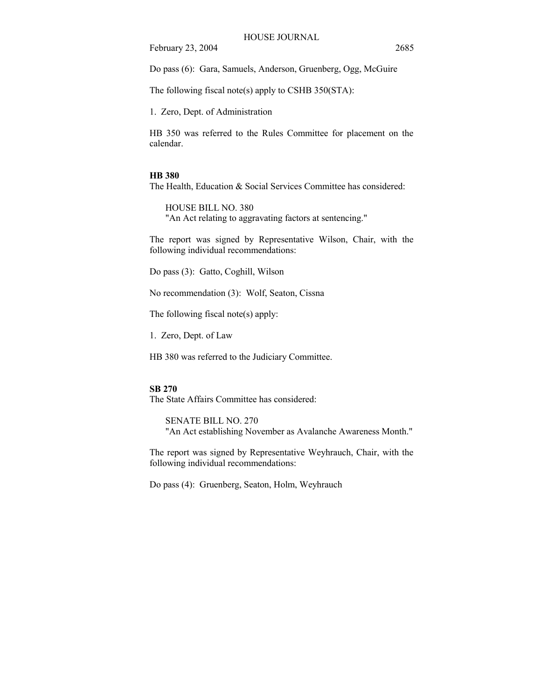Do pass (6): Gara, Samuels, Anderson, Gruenberg, Ogg, McGuire

The following fiscal note(s) apply to CSHB 350(STA):

1. Zero, Dept. of Administration

HB 350 was referred to the Rules Committee for placement on the calendar.

#### **HB 380**

The Health, Education & Social Services Committee has considered:

HOUSE BILL NO. 380 "An Act relating to aggravating factors at sentencing."

The report was signed by Representative Wilson, Chair, with the following individual recommendations:

Do pass (3): Gatto, Coghill, Wilson

No recommendation (3): Wolf, Seaton, Cissna

The following fiscal note(s) apply:

1. Zero, Dept. of Law

HB 380 was referred to the Judiciary Committee.

### **SB 270**

The State Affairs Committee has considered:

SENATE BILL NO. 270 "An Act establishing November as Avalanche Awareness Month."

The report was signed by Representative Weyhrauch, Chair, with the following individual recommendations:

Do pass (4): Gruenberg, Seaton, Holm, Weyhrauch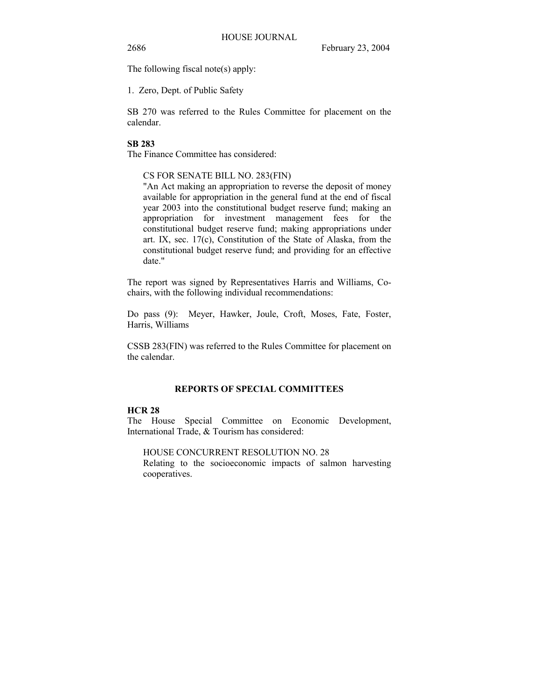The following fiscal note(s) apply:

1. Zero, Dept. of Public Safety

SB 270 was referred to the Rules Committee for placement on the calendar.

## **SB 283**

The Finance Committee has considered:

## CS FOR SENATE BILL NO. 283(FIN)

"An Act making an appropriation to reverse the deposit of money available for appropriation in the general fund at the end of fiscal year 2003 into the constitutional budget reserve fund; making an appropriation for investment management fees for the constitutional budget reserve fund; making appropriations under art. IX, sec. 17(c), Constitution of the State of Alaska, from the constitutional budget reserve fund; and providing for an effective date."

The report was signed by Representatives Harris and Williams, Cochairs, with the following individual recommendations:

Do pass (9): Meyer, Hawker, Joule, Croft, Moses, Fate, Foster, Harris, Williams

CSSB 283(FIN) was referred to the Rules Committee for placement on the calendar.

## **REPORTS OF SPECIAL COMMITTEES**

## **HCR 28**

The House Special Committee on Economic Development, International Trade, & Tourism has considered:

HOUSE CONCURRENT RESOLUTION NO. 28

Relating to the socioeconomic impacts of salmon harvesting cooperatives.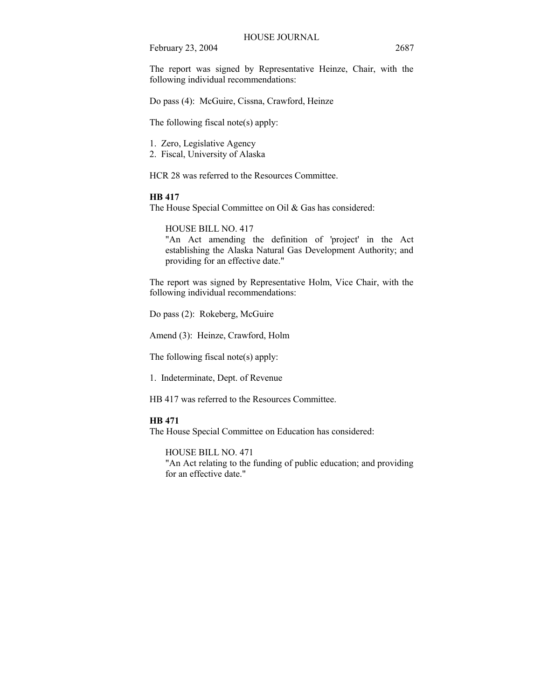The report was signed by Representative Heinze, Chair, with the following individual recommendations:

Do pass (4): McGuire, Cissna, Crawford, Heinze

The following fiscal note(s) apply:

1. Zero, Legislative Agency

2. Fiscal, University of Alaska

HCR 28 was referred to the Resources Committee.

## **HB 417**

The House Special Committee on Oil & Gas has considered:

HOUSE BILL NO. 417

"An Act amending the definition of 'project' in the Act establishing the Alaska Natural Gas Development Authority; and providing for an effective date."

The report was signed by Representative Holm, Vice Chair, with the following individual recommendations:

Do pass (2): Rokeberg, McGuire

Amend (3): Heinze, Crawford, Holm

The following fiscal note(s) apply:

1. Indeterminate, Dept. of Revenue

HB 417 was referred to the Resources Committee.

#### **HB 471**

The House Special Committee on Education has considered:

HOUSE BILL NO. 471 "An Act relating to the funding of public education; and providing for an effective date."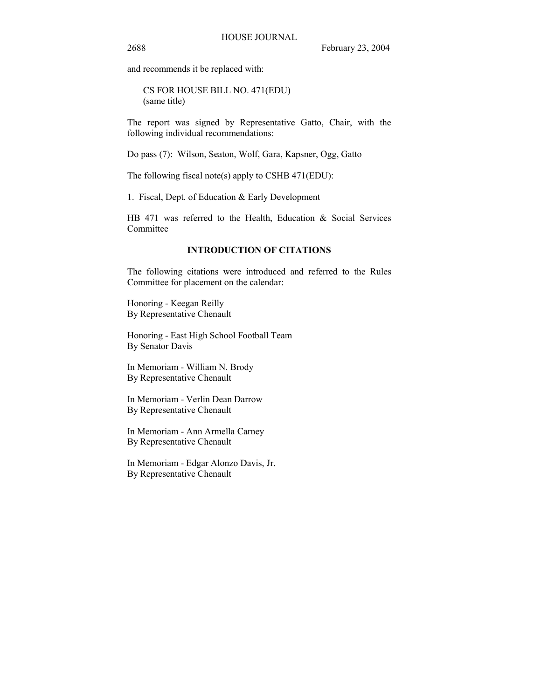and recommends it be replaced with:

CS FOR HOUSE BILL NO. 471(EDU) (same title)

The report was signed by Representative Gatto, Chair, with the following individual recommendations:

Do pass (7): Wilson, Seaton, Wolf, Gara, Kapsner, Ogg, Gatto

The following fiscal note(s) apply to CSHB 471(EDU):

1. Fiscal, Dept. of Education & Early Development

HB 471 was referred to the Health, Education & Social Services Committee

## **INTRODUCTION OF CITATIONS**

The following citations were introduced and referred to the Rules Committee for placement on the calendar:

Honoring - Keegan Reilly By Representative Chenault

Honoring - East High School Football Team By Senator Davis

In Memoriam - William N. Brody By Representative Chenault

In Memoriam - Verlin Dean Darrow By Representative Chenault

In Memoriam - Ann Armella Carney By Representative Chenault

In Memoriam - Edgar Alonzo Davis, Jr. By Representative Chenault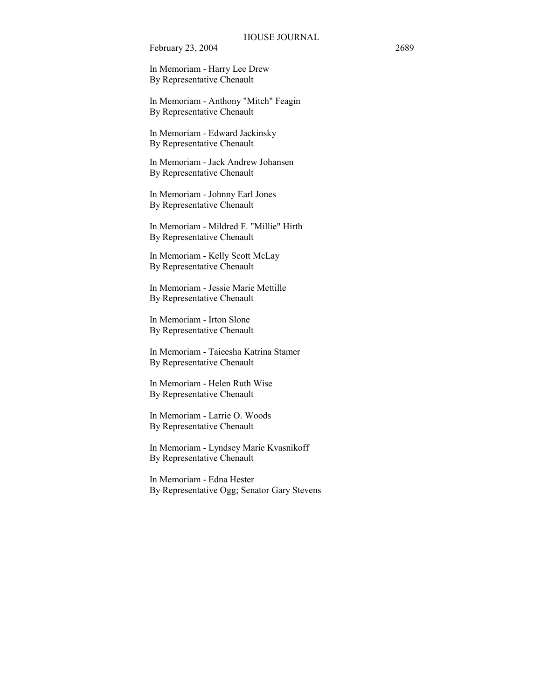In Memoriam - Harry Lee Drew By Representative Chenault

In Memoriam - Anthony "Mitch" Feagin By Representative Chenault

In Memoriam - Edward Jackinsky By Representative Chenault

In Memoriam - Jack Andrew Johansen By Representative Chenault

In Memoriam - Johnny Earl Jones By Representative Chenault

In Memoriam - Mildred F. "Millie" Hirth By Representative Chenault

In Memoriam - Kelly Scott McLay By Representative Chenault

In Memoriam - Jessie Marie Mettille By Representative Chenault

In Memoriam - Irton Slone By Representative Chenault

In Memoriam - Taieesha Katrina Stamer By Representative Chenault

In Memoriam - Helen Ruth Wise By Representative Chenault

In Memoriam - Larrie O. Woods By Representative Chenault

In Memoriam - Lyndsey Marie Kvasnikoff By Representative Chenault

In Memoriam - Edna Hester By Representative Ogg; Senator Gary Stevens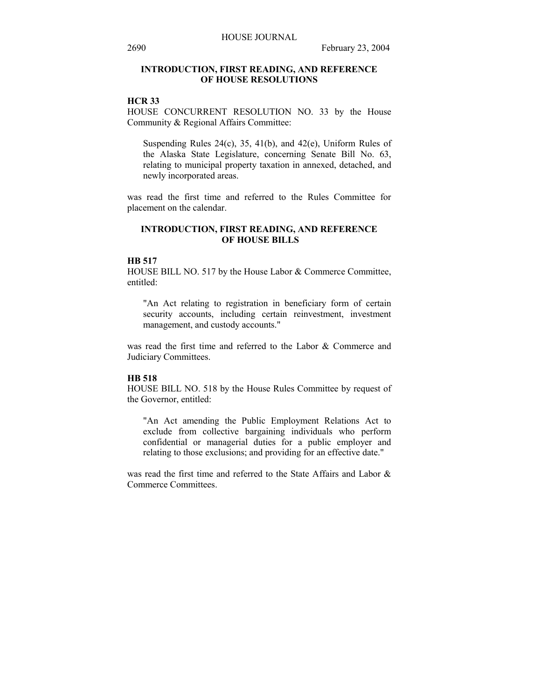## **INTRODUCTION, FIRST READING, AND REFERENCE OF HOUSE RESOLUTIONS**

## **HCR 33**

HOUSE CONCURRENT RESOLUTION NO. 33 by the House Community & Regional Affairs Committee:

Suspending Rules  $24(c)$ ,  $35$ ,  $41(b)$ , and  $42(e)$ , Uniform Rules of the Alaska State Legislature, concerning Senate Bill No. 63, relating to municipal property taxation in annexed, detached, and newly incorporated areas.

was read the first time and referred to the Rules Committee for placement on the calendar.

## **INTRODUCTION, FIRST READING, AND REFERENCE OF HOUSE BILLS**

#### **HB 517**

HOUSE BILL NO. 517 by the House Labor & Commerce Committee, entitled:

"An Act relating to registration in beneficiary form of certain security accounts, including certain reinvestment, investment management, and custody accounts."

was read the first time and referred to the Labor & Commerce and Judiciary Committees.

#### **HB 518**

HOUSE BILL NO. 518 by the House Rules Committee by request of the Governor, entitled:

"An Act amending the Public Employment Relations Act to exclude from collective bargaining individuals who perform confidential or managerial duties for a public employer and relating to those exclusions; and providing for an effective date."

was read the first time and referred to the State Affairs and Labor & Commerce Committees.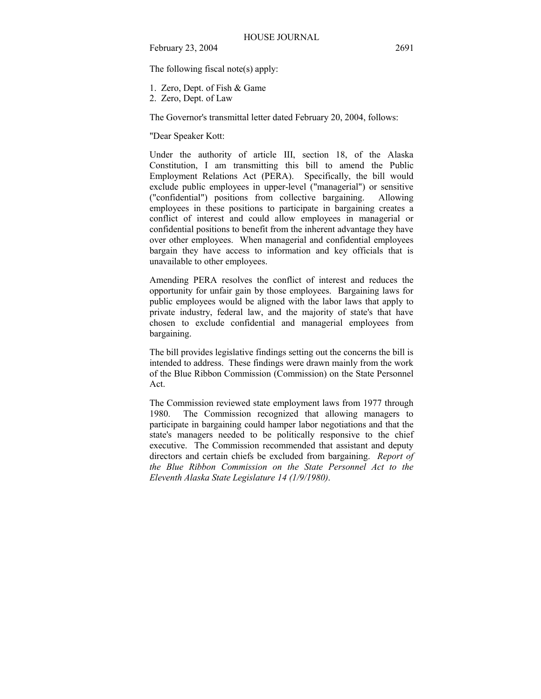The following fiscal note(s) apply:

- 1. Zero, Dept. of Fish & Game
- 2. Zero, Dept. of Law

The Governor's transmittal letter dated February 20, 2004, follows:

"Dear Speaker Kott:

Under the authority of article III, section 18, of the Alaska Constitution, I am transmitting this bill to amend the Public Employment Relations Act (PERA). Specifically, the bill would exclude public employees in upper-level ("managerial") or sensitive ("confidential") positions from collective bargaining. Allowing employees in these positions to participate in bargaining creates a conflict of interest and could allow employees in managerial or confidential positions to benefit from the inherent advantage they have over other employees. When managerial and confidential employees bargain they have access to information and key officials that is unavailable to other employees.

Amending PERA resolves the conflict of interest and reduces the opportunity for unfair gain by those employees. Bargaining laws for public employees would be aligned with the labor laws that apply to private industry, federal law, and the majority of state's that have chosen to exclude confidential and managerial employees from bargaining.

The bill provides legislative findings setting out the concerns the bill is intended to address. These findings were drawn mainly from the work of the Blue Ribbon Commission (Commission) on the State Personnel Act.

The Commission reviewed state employment laws from 1977 through 1980. The Commission recognized that allowing managers to participate in bargaining could hamper labor negotiations and that the state's managers needed to be politically responsive to the chief executive. The Commission recommended that assistant and deputy directors and certain chiefs be excluded from bargaining. *Report of the Blue Ribbon Commission on the State Personnel Act to the Eleventh Alaska State Legislature 14 (1/9/1980)*.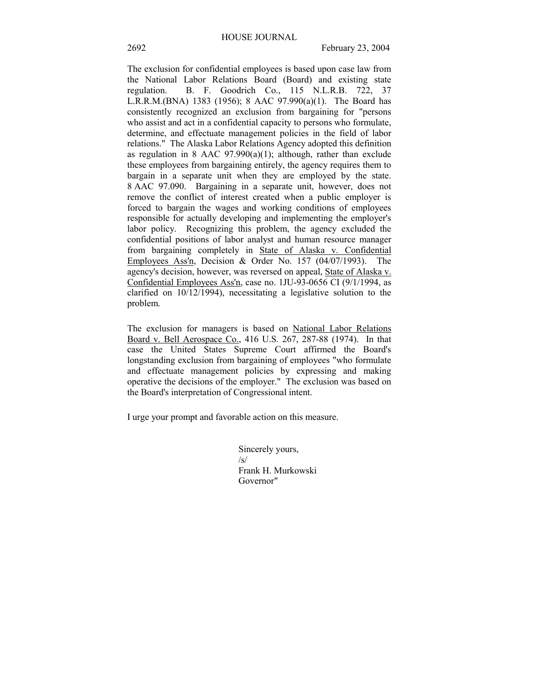The exclusion for confidential employees is based upon case law from the National Labor Relations Board (Board) and existing state regulation. B. F. Goodrich Co., 115 N.L.R.B. 722, 37 L.R.R.M.(BNA) 1383 (1956); 8 AAC 97.990(a)(1). The Board has consistently recognized an exclusion from bargaining for "persons who assist and act in a confidential capacity to persons who formulate, determine, and effectuate management policies in the field of labor relations." The Alaska Labor Relations Agency adopted this definition as regulation in 8 AAC  $97.990(a)(1)$ ; although, rather than exclude these employees from bargaining entirely, the agency requires them to bargain in a separate unit when they are employed by the state. 8 AAC 97.090. Bargaining in a separate unit, however, does not remove the conflict of interest created when a public employer is forced to bargain the wages and working conditions of employees responsible for actually developing and implementing the employer's labor policy. Recognizing this problem, the agency excluded the confidential positions of labor analyst and human resource manager from bargaining completely in State of Alaska v. Confidential Employees Ass'n, Decision & Order No. 157 (04/07/1993). The agency's decision, however, was reversed on appeal, State of Alaska v. Confidential Employees Ass'n, case no. 1JU-93-0656 CI (9/1/1994, as clarified on 10/12/1994), necessitating a legislative solution to the problem.

The exclusion for managers is based on National Labor Relations Board v. Bell Aerospace Co., 416 U.S. 267, 287-88 (1974). In that case the United States Supreme Court affirmed the Board's longstanding exclusion from bargaining of employees "who formulate and effectuate management policies by expressing and making operative the decisions of the employer." The exclusion was based on the Board's interpretation of Congressional intent.

I urge your prompt and favorable action on this measure.

Sincerely yours,  $\sqrt{s}$ Frank H. Murkowski Governor"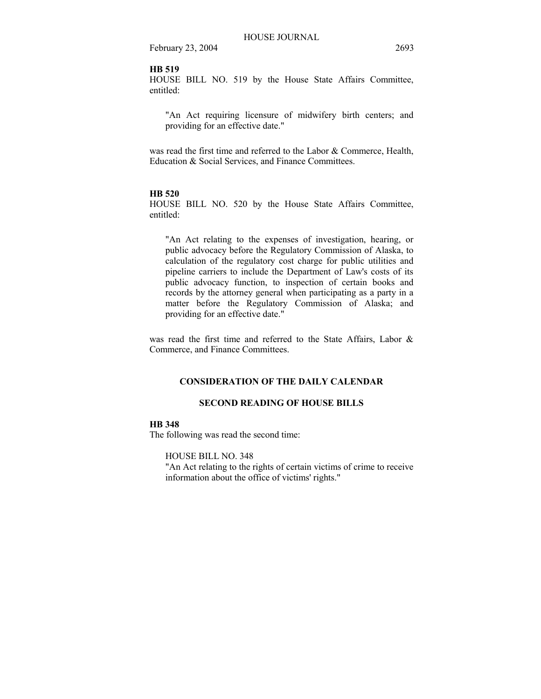## **HB 519**

HOUSE BILL NO. 519 by the House State Affairs Committee, entitled:

"An Act requiring licensure of midwifery birth centers; and providing for an effective date."

was read the first time and referred to the Labor & Commerce, Health, Education & Social Services, and Finance Committees.

#### **HB 520**

HOUSE BILL NO. 520 by the House State Affairs Committee, entitled:

"An Act relating to the expenses of investigation, hearing, or public advocacy before the Regulatory Commission of Alaska, to calculation of the regulatory cost charge for public utilities and pipeline carriers to include the Department of Law's costs of its public advocacy function, to inspection of certain books and records by the attorney general when participating as a party in a matter before the Regulatory Commission of Alaska; and providing for an effective date."

was read the first time and referred to the State Affairs, Labor & Commerce, and Finance Committees.

#### **CONSIDERATION OF THE DAILY CALENDAR**

## **SECOND READING OF HOUSE BILLS**

#### **HB 348**

The following was read the second time:

HOUSE BILL NO. 348

"An Act relating to the rights of certain victims of crime to receive information about the office of victims' rights."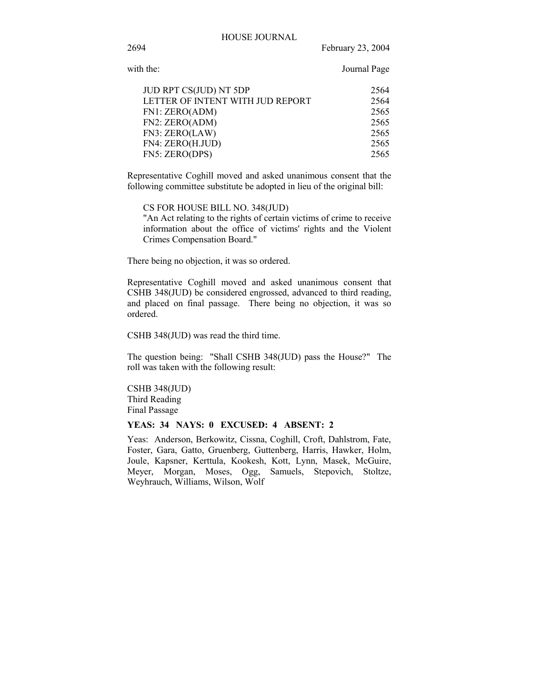2694 February 23, 2004

with the: Journal Page

| JUD RPT CS(JUD) NT 5DP           | 2564 |
|----------------------------------|------|
| LETTER OF INTENT WITH JUD REPORT | 2564 |
| FN1: ZERO(ADM)                   | 2565 |
| FN2: ZERO(ADM)                   | 2565 |
| FN3: ZERO(LAW)                   | 2565 |
| FN4: ZERO(H.JUD)                 | 2565 |
| FN5: ZERO(DPS)                   | 2565 |
|                                  |      |

Representative Coghill moved and asked unanimous consent that the following committee substitute be adopted in lieu of the original bill:

CS FOR HOUSE BILL NO. 348(JUD)

"An Act relating to the rights of certain victims of crime to receive information about the office of victims' rights and the Violent Crimes Compensation Board."

There being no objection, it was so ordered.

Representative Coghill moved and asked unanimous consent that CSHB 348(JUD) be considered engrossed, advanced to third reading, and placed on final passage. There being no objection, it was so ordered.

CSHB 348(JUD) was read the third time.

The question being: "Shall CSHB 348(JUD) pass the House?" The roll was taken with the following result:

CSHB 348(JUD) Third Reading Final Passage

## **YEAS: 34 NAYS: 0 EXCUSED: 4 ABSENT: 2**

Yeas: Anderson, Berkowitz, Cissna, Coghill, Croft, Dahlstrom, Fate, Foster, Gara, Gatto, Gruenberg, Guttenberg, Harris, Hawker, Holm, Joule, Kapsner, Kerttula, Kookesh, Kott, Lynn, Masek, McGuire, Meyer, Morgan, Moses, Ogg, Samuels, Stepovich, Stoltze, Weyhrauch, Williams, Wilson, Wolf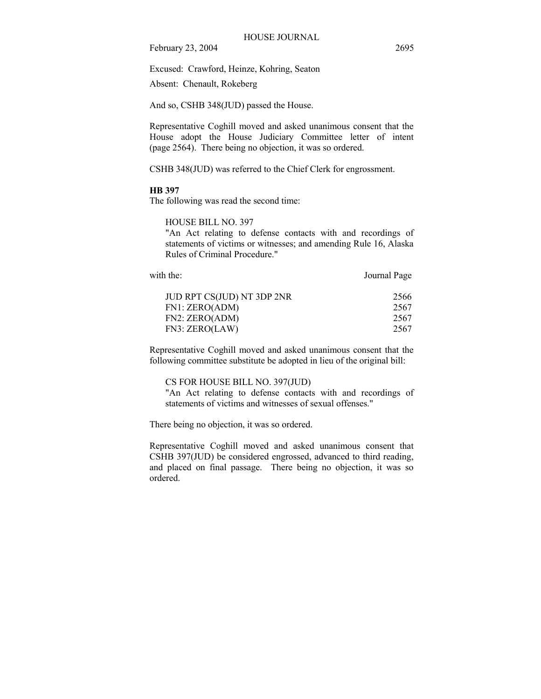Excused: Crawford, Heinze, Kohring, Seaton

Absent: Chenault, Rokeberg

And so, CSHB 348(JUD) passed the House.

Representative Coghill moved and asked unanimous consent that the House adopt the House Judiciary Committee letter of intent (page 2564). There being no objection, it was so ordered.

CSHB 348(JUD) was referred to the Chief Clerk for engrossment.

### **HB 397**

The following was read the second time:

HOUSE BILL NO. 397

"An Act relating to defense contacts with and recordings of statements of victims or witnesses; and amending Rule 16, Alaska Rules of Criminal Procedure."

with the: Journal Page JUD RPT CS(JUD) NT 3DP 2NR 2566 FN1: ZERO(ADM) 2567 FN2: ZERO(ADM) 2567 FN3: ZERO(LAW) 2567

Representative Coghill moved and asked unanimous consent that the following committee substitute be adopted in lieu of the original bill:

#### CS FOR HOUSE BILL NO. 397(JUD)

"An Act relating to defense contacts with and recordings of statements of victims and witnesses of sexual offenses."

There being no objection, it was so ordered.

Representative Coghill moved and asked unanimous consent that CSHB 397(JUD) be considered engrossed, advanced to third reading, and placed on final passage. There being no objection, it was so ordered.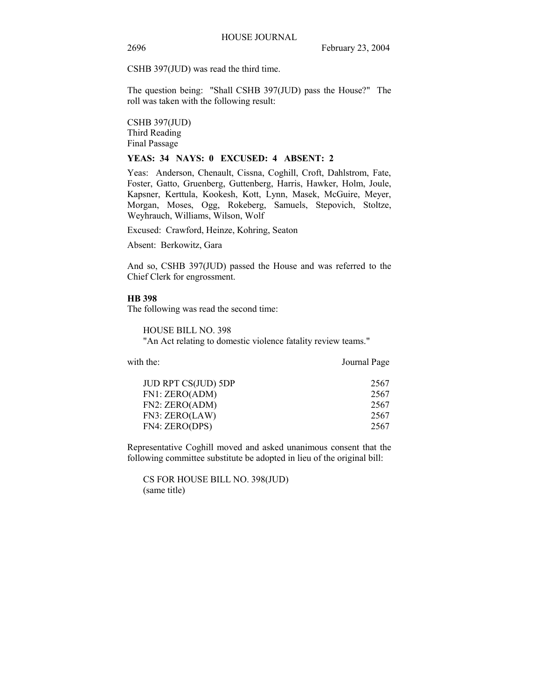CSHB 397(JUD) was read the third time.

The question being: "Shall CSHB 397(JUD) pass the House?" The roll was taken with the following result:

CSHB 397(JUD) Third Reading Final Passage

#### **YEAS: 34 NAYS: 0 EXCUSED: 4 ABSENT: 2**

Yeas: Anderson, Chenault, Cissna, Coghill, Croft, Dahlstrom, Fate, Foster, Gatto, Gruenberg, Guttenberg, Harris, Hawker, Holm, Joule, Kapsner, Kerttula, Kookesh, Kott, Lynn, Masek, McGuire, Meyer, Morgan, Moses, Ogg, Rokeberg, Samuels, Stepovich, Stoltze, Weyhrauch, Williams, Wilson, Wolf

Excused: Crawford, Heinze, Kohring, Seaton

Absent: Berkowitz, Gara

And so, CSHB 397(JUD) passed the House and was referred to the Chief Clerk for engrossment.

#### **HB 398**

The following was read the second time:

HOUSE BILL NO. 398 "An Act relating to domestic violence fatality review teams."

| with the:                  | Journal Page |
|----------------------------|--------------|
| <b>JUD RPT CS(JUD) 5DP</b> | 2567         |
| FN1: ZERO(ADM)             | 2567         |
| FN2: ZERO(ADM)             | 2567         |
| FN3: ZERO(LAW)             | 2567         |
| FN4: ZERO(DPS)             | 2567         |

Representative Coghill moved and asked unanimous consent that the following committee substitute be adopted in lieu of the original bill:

CS FOR HOUSE BILL NO. 398(JUD) (same title)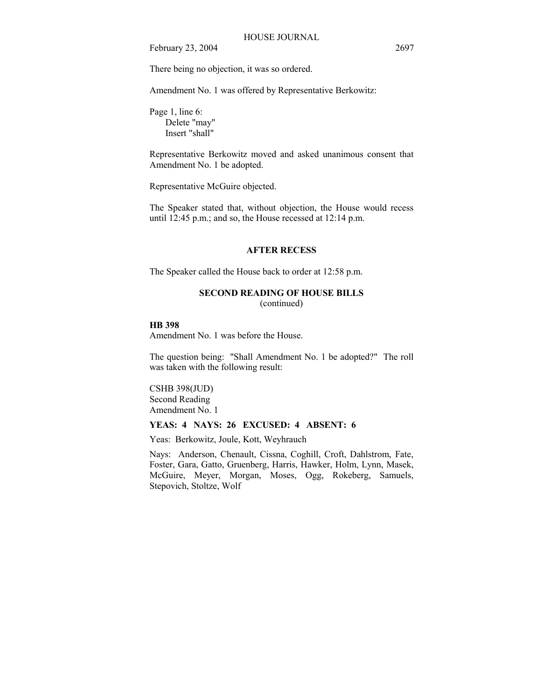There being no objection, it was so ordered.

Amendment No. 1 was offered by Representative Berkowitz:

Page 1, line 6: Delete "may" Insert "shall"

Representative Berkowitz moved and asked unanimous consent that Amendment No. 1 be adopted.

Representative McGuire objected.

The Speaker stated that, without objection, the House would recess until 12:45 p.m.; and so, the House recessed at 12:14 p.m.

#### **AFTER RECESS**

The Speaker called the House back to order at 12:58 p.m.

## **SECOND READING OF HOUSE BILLS**

(continued)

## **HB 398**

Amendment No. 1 was before the House.

The question being: "Shall Amendment No. 1 be adopted?" The roll was taken with the following result:

#### CSHB 398(JUD)

Second Reading Amendment No. 1

#### **YEAS: 4 NAYS: 26 EXCUSED: 4 ABSENT: 6**

Yeas: Berkowitz, Joule, Kott, Weyhrauch

Nays: Anderson, Chenault, Cissna, Coghill, Croft, Dahlstrom, Fate, Foster, Gara, Gatto, Gruenberg, Harris, Hawker, Holm, Lynn, Masek, McGuire, Meyer, Morgan, Moses, Ogg, Rokeberg, Samuels, Stepovich, Stoltze, Wolf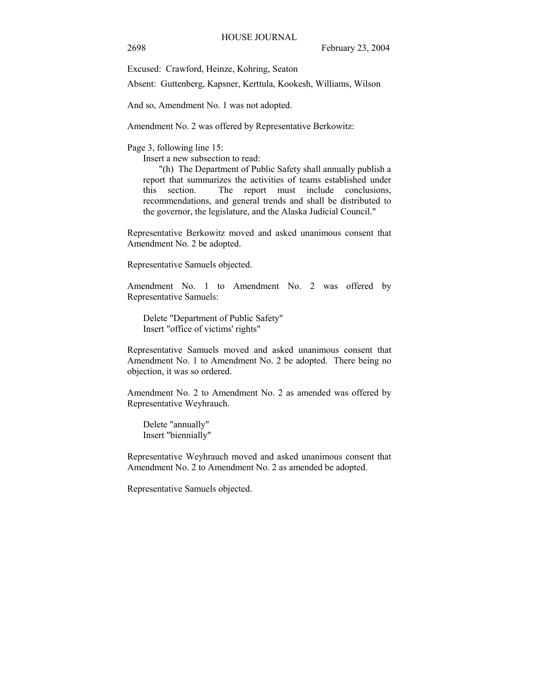Excused: Crawford, Heinze, Kohring, Seaton

Absent: Guttenberg, Kapsner, Kerttula, Kookesh, Williams, Wilson

And so, Amendment No. 1 was not adopted.

Amendment No. 2 was offered by Representative Berkowitz:

Page 3, following line 15:

Insert a new subsection to read:

"(h) The Department of Public Safety shall annually publish a report that summarizes the activities of teams established under this section. The report must include conclusions, recommendations, and general trends and shall be distributed to the governor, the legislature, and the Alaska Judicial Council."

Representative Berkowitz moved and asked unanimous consent that Amendment No. 2 be adopted.

Representative Samuels objected.

Amendment No. 1 to Amendment No. 2 was offered by Representative Samuels:

Delete "Department of Public Safety" Insert "office of victims' rights"

Representative Samuels moved and asked unanimous consent that Amendment No. 1 to Amendment No. 2 be adopted. There being no objection, it was so ordered.

Amendment No. 2 to Amendment No. 2 as amended was offered by Representative Weyhrauch.

Delete "annually" Insert "biennially"

Representative Weyhrauch moved and asked unanimous consent that Amendment No. 2 to Amendment No. 2 as amended be adopted.

Representative Samuels objected.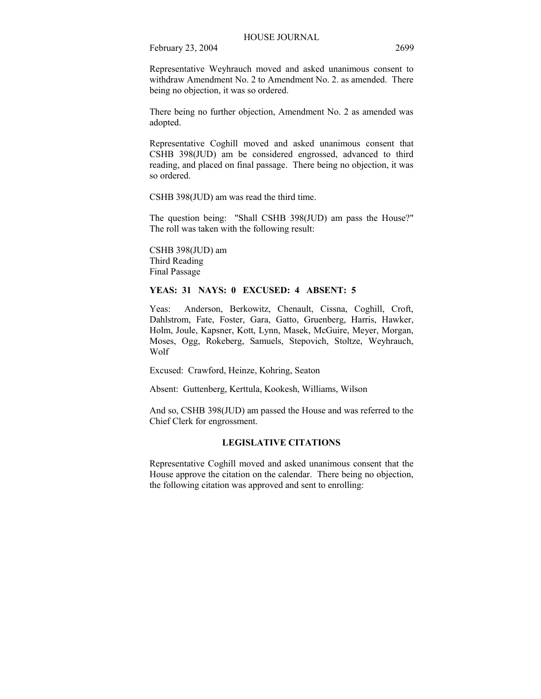Representative Weyhrauch moved and asked unanimous consent to withdraw Amendment No. 2 to Amendment No. 2. as amended. There being no objection, it was so ordered.

There being no further objection, Amendment No. 2 as amended was adopted.

Representative Coghill moved and asked unanimous consent that CSHB 398(JUD) am be considered engrossed, advanced to third reading, and placed on final passage. There being no objection, it was so ordered.

CSHB 398(JUD) am was read the third time.

The question being: "Shall CSHB 398(JUD) am pass the House?" The roll was taken with the following result:

CSHB 398(JUD) am Third Reading Final Passage

#### **YEAS: 31 NAYS: 0 EXCUSED: 4 ABSENT: 5**

Yeas: Anderson, Berkowitz, Chenault, Cissna, Coghill, Croft, Dahlstrom, Fate, Foster, Gara, Gatto, Gruenberg, Harris, Hawker, Holm, Joule, Kapsner, Kott, Lynn, Masek, McGuire, Meyer, Morgan, Moses, Ogg, Rokeberg, Samuels, Stepovich, Stoltze, Weyhrauch, Wolf

Excused: Crawford, Heinze, Kohring, Seaton

Absent: Guttenberg, Kerttula, Kookesh, Williams, Wilson

And so, CSHB 398(JUD) am passed the House and was referred to the Chief Clerk for engrossment.

## **LEGISLATIVE CITATIONS**

Representative Coghill moved and asked unanimous consent that the House approve the citation on the calendar. There being no objection, the following citation was approved and sent to enrolling: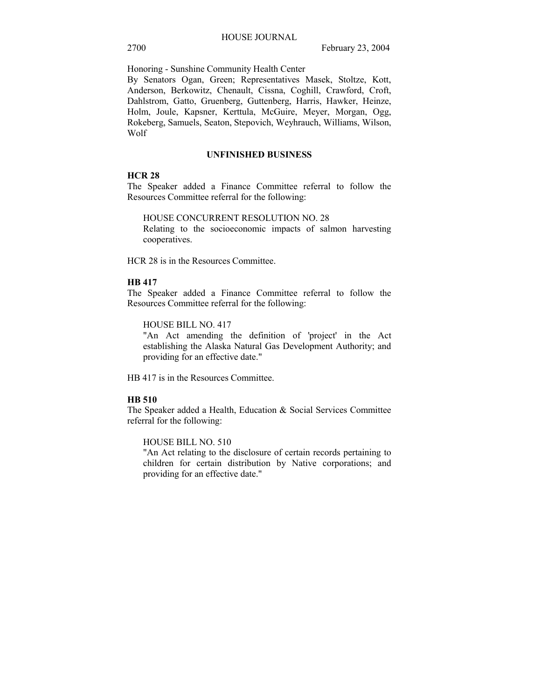Honoring - Sunshine Community Health Center

By Senators Ogan, Green; Representatives Masek, Stoltze, Kott, Anderson, Berkowitz, Chenault, Cissna, Coghill, Crawford, Croft, Dahlstrom, Gatto, Gruenberg, Guttenberg, Harris, Hawker, Heinze, Holm, Joule, Kapsner, Kerttula, McGuire, Meyer, Morgan, Ogg, Rokeberg, Samuels, Seaton, Stepovich, Weyhrauch, Williams, Wilson, Wolf

#### **UNFINISHED BUSINESS**

## **HCR 28**

The Speaker added a Finance Committee referral to follow the Resources Committee referral for the following:

HOUSE CONCURRENT RESOLUTION NO. 28

Relating to the socioeconomic impacts of salmon harvesting cooperatives.

HCR 28 is in the Resources Committee.

#### **HB 417**

The Speaker added a Finance Committee referral to follow the Resources Committee referral for the following:

HOUSE BILL NO. 417

"An Act amending the definition of 'project' in the Act establishing the Alaska Natural Gas Development Authority; and providing for an effective date."

HB 417 is in the Resources Committee.

## **HB 510**

The Speaker added a Health, Education & Social Services Committee referral for the following:

HOUSE BILL NO. 510

"An Act relating to the disclosure of certain records pertaining to children for certain distribution by Native corporations; and providing for an effective date."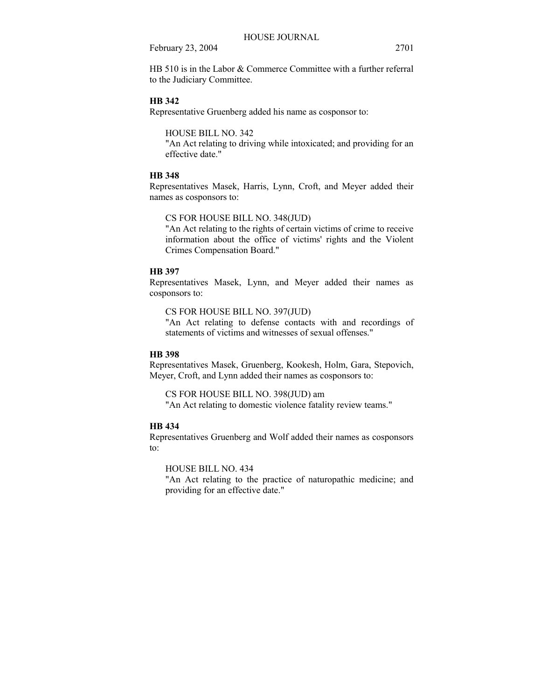HB 510 is in the Labor & Commerce Committee with a further referral to the Judiciary Committee.

## **HB 342**

Representative Gruenberg added his name as cosponsor to:

HOUSE BILL NO. 342

"An Act relating to driving while intoxicated; and providing for an effective date."

## **HB 348**

Representatives Masek, Harris, Lynn, Croft, and Meyer added their names as cosponsors to:

## CS FOR HOUSE BILL NO. 348(JUD)

"An Act relating to the rights of certain victims of crime to receive information about the office of victims' rights and the Violent Crimes Compensation Board."

## **HB 397**

Representatives Masek, Lynn, and Meyer added their names as cosponsors to:

CS FOR HOUSE BILL NO. 397(JUD)

"An Act relating to defense contacts with and recordings of statements of victims and witnesses of sexual offenses."

## **HB 398**

Representatives Masek, Gruenberg, Kookesh, Holm, Gara, Stepovich, Meyer, Croft, and Lynn added their names as cosponsors to:

CS FOR HOUSE BILL NO. 398(JUD) am "An Act relating to domestic violence fatality review teams."

## **HB 434**

Representatives Gruenberg and Wolf added their names as cosponsors to:

HOUSE BILL NO. 434

"An Act relating to the practice of naturopathic medicine; and providing for an effective date."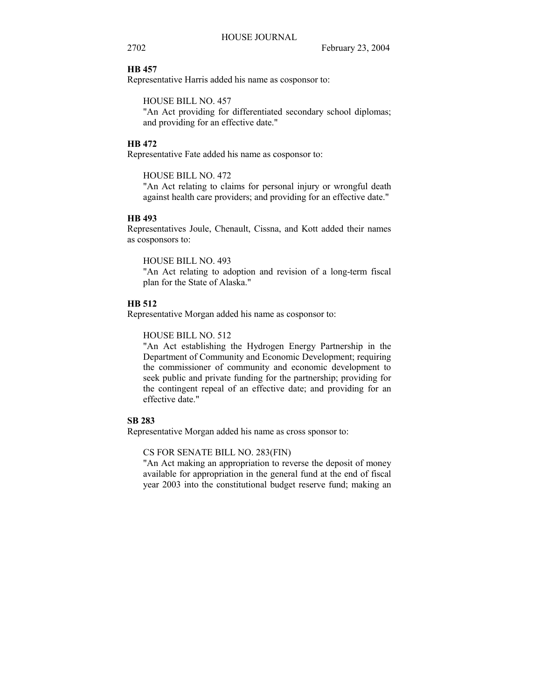#### **HB 457**

Representative Harris added his name as cosponsor to:

HOUSE BILL NO. 457

"An Act providing for differentiated secondary school diplomas; and providing for an effective date."

#### **HB 472**

Representative Fate added his name as cosponsor to:

HOUSE BILL NO. 472

"An Act relating to claims for personal injury or wrongful death against health care providers; and providing for an effective date."

#### **HB 493**

Representatives Joule, Chenault, Cissna, and Kott added their names as cosponsors to:

HOUSE BILL NO. 493

"An Act relating to adoption and revision of a long-term fiscal plan for the State of Alaska."

#### **HB 512**

Representative Morgan added his name as cosponsor to:

HOUSE BILL NO. 512

"An Act establishing the Hydrogen Energy Partnership in the Department of Community and Economic Development; requiring the commissioner of community and economic development to seek public and private funding for the partnership; providing for the contingent repeal of an effective date; and providing for an effective date."

### **SB 283**

Representative Morgan added his name as cross sponsor to:

CS FOR SENATE BILL NO. 283(FIN)

"An Act making an appropriation to reverse the deposit of money available for appropriation in the general fund at the end of fiscal year 2003 into the constitutional budget reserve fund; making an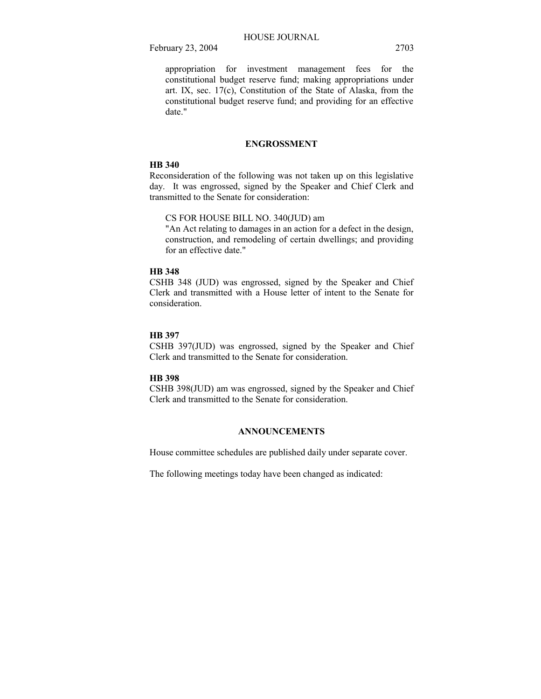appropriation for investment management fees for the constitutional budget reserve fund; making appropriations under art. IX, sec. 17(c), Constitution of the State of Alaska, from the constitutional budget reserve fund; and providing for an effective date."

## **ENGROSSMENT**

#### **HB 340**

Reconsideration of the following was not taken up on this legislative day. It was engrossed, signed by the Speaker and Chief Clerk and transmitted to the Senate for consideration:

## CS FOR HOUSE BILL NO. 340(JUD) am

"An Act relating to damages in an action for a defect in the design, construction, and remodeling of certain dwellings; and providing for an effective date."

## **HB 348**

CSHB 348 (JUD) was engrossed, signed by the Speaker and Chief Clerk and transmitted with a House letter of intent to the Senate for consideration.

#### **HB 397**

CSHB 397(JUD) was engrossed, signed by the Speaker and Chief Clerk and transmitted to the Senate for consideration.

### **HB 398**

CSHB 398(JUD) am was engrossed, signed by the Speaker and Chief Clerk and transmitted to the Senate for consideration.

## **ANNOUNCEMENTS**

House committee schedules are published daily under separate cover.

The following meetings today have been changed as indicated: